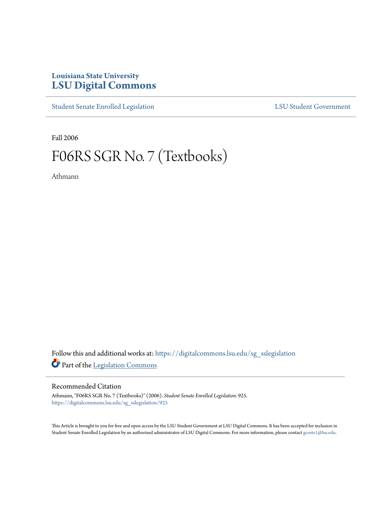## **Louisiana State University [LSU Digital Commons](https://digitalcommons.lsu.edu?utm_source=digitalcommons.lsu.edu%2Fsg_sslegislation%2F925&utm_medium=PDF&utm_campaign=PDFCoverPages)**

[Student Senate Enrolled Legislation](https://digitalcommons.lsu.edu/sg_sslegislation?utm_source=digitalcommons.lsu.edu%2Fsg_sslegislation%2F925&utm_medium=PDF&utm_campaign=PDFCoverPages) [LSU Student Government](https://digitalcommons.lsu.edu/sg?utm_source=digitalcommons.lsu.edu%2Fsg_sslegislation%2F925&utm_medium=PDF&utm_campaign=PDFCoverPages)

Fall 2006

## F06RS SGR No. 7 (Textbooks)

Athmann

Follow this and additional works at: [https://digitalcommons.lsu.edu/sg\\_sslegislation](https://digitalcommons.lsu.edu/sg_sslegislation?utm_source=digitalcommons.lsu.edu%2Fsg_sslegislation%2F925&utm_medium=PDF&utm_campaign=PDFCoverPages) Part of the [Legislation Commons](http://network.bepress.com/hgg/discipline/859?utm_source=digitalcommons.lsu.edu%2Fsg_sslegislation%2F925&utm_medium=PDF&utm_campaign=PDFCoverPages)

## Recommended Citation

Athmann, "F06RS SGR No. 7 (Textbooks)" (2006). *Student Senate Enrolled Legislation*. 925. [https://digitalcommons.lsu.edu/sg\\_sslegislation/925](https://digitalcommons.lsu.edu/sg_sslegislation/925?utm_source=digitalcommons.lsu.edu%2Fsg_sslegislation%2F925&utm_medium=PDF&utm_campaign=PDFCoverPages)

This Article is brought to you for free and open access by the LSU Student Government at LSU Digital Commons. It has been accepted for inclusion in Student Senate Enrolled Legislation by an authorized administrator of LSU Digital Commons. For more information, please contact [gcoste1@lsu.edu.](mailto:gcoste1@lsu.edu)